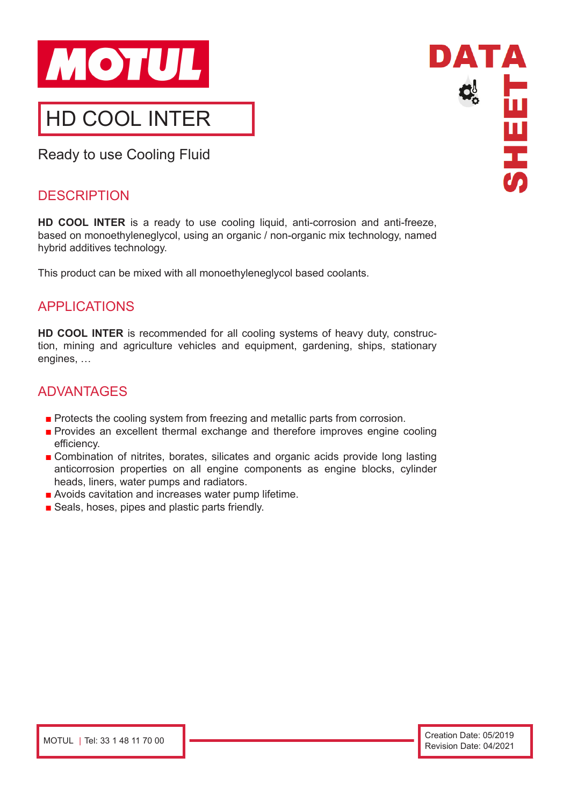

Ready to use Cooling Fluid

## **DESCRIPTION**

**HD COOL INTER** is a ready to use cooling liquid, anti-corrosion and anti-freeze, based on monoethyleneglycol, using an organic / non-organic mix technology, named hybrid additives technology.

This product can be mixed with all monoethyleneglycol based coolants.

# APPLICATIONS

**HD COOL INTER** is recommended for all cooling systems of heavy duty, construction, mining and agriculture vehicles and equipment, gardening, ships, stationary engines, …

### ADVANTAGES

- Protects the cooling system from freezing and metallic parts from corrosion.
- Provides an excellent thermal exchange and therefore improves engine cooling efficiency.
- Combination of nitrites, borates, silicates and organic acids provide long lasting anticorrosion properties on all engine components as engine blocks, cylinder heads, liners, water pumps and radiators.
- Avoids cavitation and increases water pump lifetime.
- Seals, hoses, pipes and plastic parts friendly.

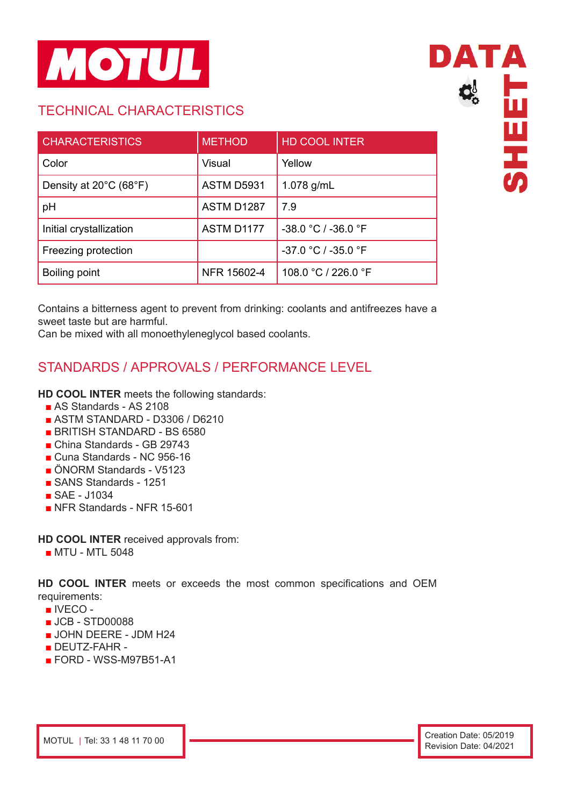

# TECHNICAL CHARACTERISTICS

| <b>CHARACTERISTICS</b>                      | <b>METHOD</b>     | <b>HD COOL INTER</b>  |
|---------------------------------------------|-------------------|-----------------------|
| Color                                       | Visual            | Yellow                |
| Density at $20^{\circ}$ C (68 $^{\circ}$ F) | <b>ASTM D5931</b> | 1.078 g/mL            |
| pH                                          | ASTM D1287        | 7.9                   |
| Initial crystallization                     | ASTM D1177        | $-38.0 °C / -36.0 °F$ |
| Freezing protection                         |                   | $-37.0 °C / -35.0 °F$ |
| Boiling point                               | NFR 15602-4       | 108.0 °C / 226.0 °F   |



Contains a bitterness agent to prevent from drinking: coolants and antifreezes have a sweet taste but are harmful.

Can be mixed with all monoethyleneglycol based coolants.

# STANDARDS / APPROVALS / PERFORMANCE LEVEL

#### **HD COOL INTER** meets the following standards:

- AS Standards AS 2108
- ASTM STANDARD D3306 / D6210
- BRITISH STANDARD BS 6580
- China Standards GB 29743
- Cuna Standards NC 956-16
- ÖNORM Standards V5123
- SANS Standards 1251
- SAE J1034
- NFR Standards NFR 15-601

**HD COOL INTER** received approvals from:

■ MTU - MTL 5048

**HD COOL INTER** meets or exceeds the most common specifications and OEM requirements:

- IVECO -
- JCB STD00088
- JOHN DEERE JDM H24
- DEUTZ-FAHR -
- FORD WSS-M97B51-A1